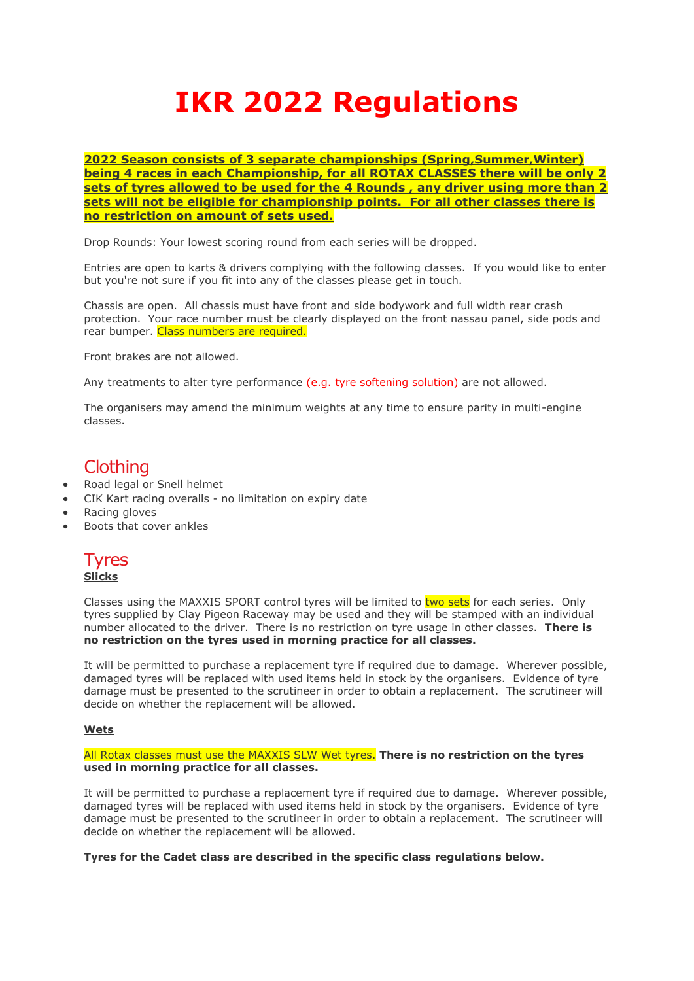# **IKR 2022 Regulations**

**2022 Season consists of 3 separate championships (Spring,Summer,Winter) being 4 races in each Championship, for all ROTAX CLASSES there will be only 2 sets of tyres allowed to be used for the 4 Rounds , any driver using more than 2 sets will not be eligible for championship points. For all other classes there is no restriction on amount of sets used.**

Drop Rounds: Your lowest scoring round from each series will be dropped.

Entries are open to karts & drivers complying with the following classes. If you would like to enter but you're not sure if you fit into any of the classes please get in touch.

Chassis are open. All chassis must have front and side bodywork and full width rear crash protection. Your race number must be clearly displayed on the front nassau panel, side pods and rear bumper. Class numbers are required.

Front brakes are not allowed.

Any treatments to alter tyre performance (e.g. tyre softening solution) are not allowed.

The organisers may amend the minimum weights at any time to ensure parity in multi-engine classes.

## **Clothing**

- Road legal or Snell helmet
- CIK Kart racing overalls no limitation on expiry date
- Racing gloves
- Boots that cover ankles



Classes using the MAXXIS SPORT control tyres will be limited to two sets for each series. Only tyres supplied by Clay Pigeon Raceway may be used and they will be stamped with an individual number allocated to the driver. There is no restriction on tyre usage in other classes. **There is no restriction on the tyres used in morning practice for all classes.**

It will be permitted to purchase a replacement tyre if required due to damage. Wherever possible, damaged tyres will be replaced with used items held in stock by the organisers. Evidence of tyre damage must be presented to the scrutineer in order to obtain a replacement. The scrutineer will decide on whether the replacement will be allowed.

#### **Wets**

All Rotax classes must use the MAXXIS SLW Wet tyres. **There is no restriction on the tyres used in morning practice for all classes.**

It will be permitted to purchase a replacement tyre if required due to damage. Wherever possible, damaged tyres will be replaced with used items held in stock by the organisers. Evidence of tyre damage must be presented to the scrutineer in order to obtain a replacement. The scrutineer will decide on whether the replacement will be allowed.

**Tyres for the Cadet class are described in the specific class regulations below.**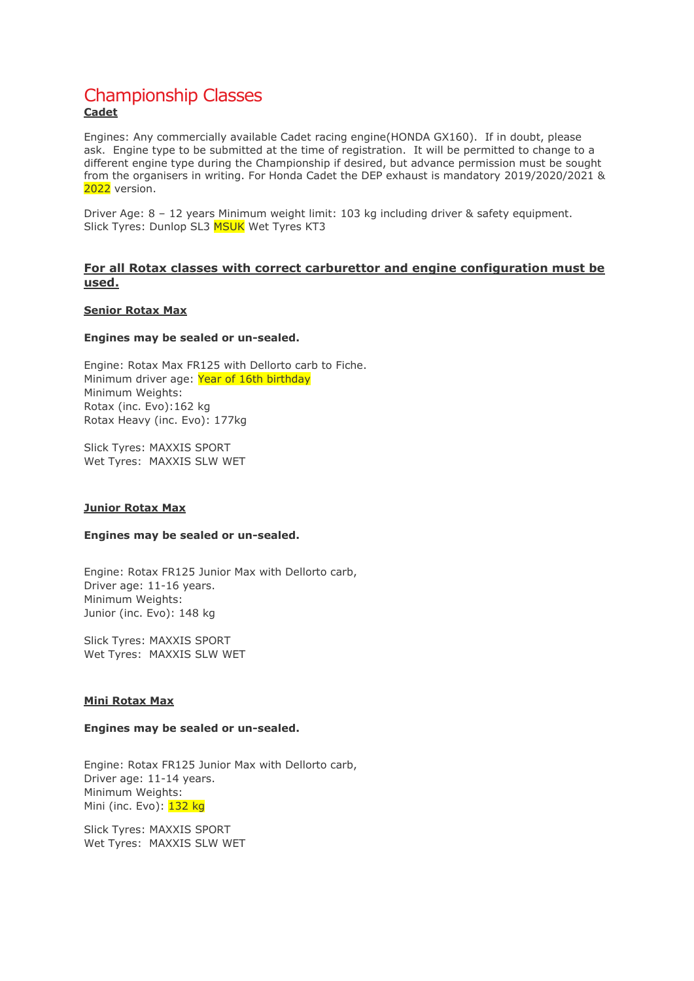#### Championship Classes **Cadet**

Engines: Any commercially available Cadet racing engine(HONDA GX160). If in doubt, please ask. Engine type to be submitted at the time of registration. It will be permitted to change to a different engine type during the Championship if desired, but advance permission must be sought from the organisers in writing. For Honda Cadet the DEP exhaust is mandatory 2019/2020/2021 & 2022 version.

Driver Age: 8 – 12 years Minimum weight limit: 103 kg including driver & safety equipment. Slick Tyres: Dunlop SL3 **MSUK** Wet Tyres KT3

#### **For all Rotax classes with correct carburettor and engine configuration must be used.**

#### **Senior Rotax Max**

#### **Engines may be sealed or un-sealed.**

Engine: Rotax Max FR125 with Dellorto carb to Fiche. Minimum driver age: Year of 16th birthday Minimum Weights: Rotax (inc. Evo):162 kg Rotax Heavy (inc. Evo): 177kg

Slick Tyres: MAXXIS SPORT Wet Tyres: MAXXIS SLW WET

#### **Junior Rotax Max**

#### **Engines may be sealed or un-sealed.**

Engine: Rotax FR125 Junior Max with Dellorto carb, Driver age: 11-16 years. Minimum Weights: Junior (inc. Evo): 148 kg

Slick Tyres: MAXXIS SPORT Wet Tyres: MAXXIS SLW WET

#### **Mini Rotax Max**

#### **Engines may be sealed or un-sealed.**

Engine: Rotax FR125 Junior Max with Dellorto carb, Driver age: 11-14 years. Minimum Weights: Mini (inc. Evo): 132 kg

Slick Tyres: MAXXIS SPORT Wet Tyres: MAXXIS SLW WET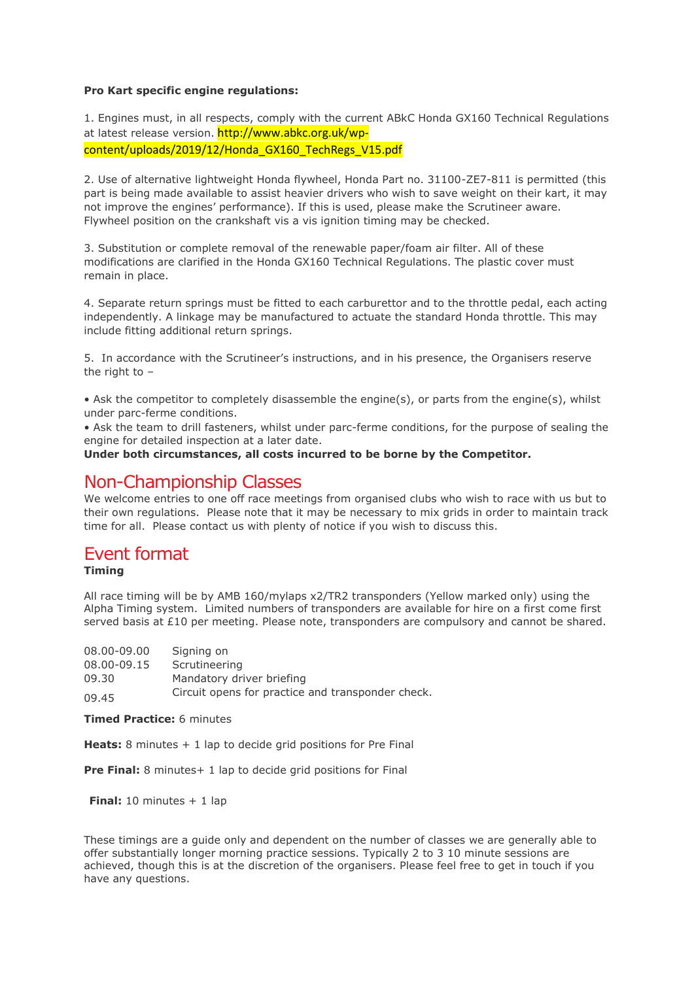#### **Pro Kart specific engine regulations:**

1. Engines must, in all respects, comply with the current ABkC Honda GX160 Technical Regulations at latest release version. http://www.abkc.org.uk/wpcontent/uploads/2019/12/Honda\_GX160\_TechRegs\_V15.pdf

2. Use of alternative lightweight Honda flywheel, Honda Part no. 31100-ZE7-811 is permitted (this part is being made available to assist heavier drivers who wish to save weight on their kart, it may not improve the engines' performance). If this is used, please make the Scrutineer aware. Flywheel position on the crankshaft vis a vis ignition timing may be checked.

3. Substitution or complete removal of the renewable paper/foam air filter. All of these modifications are clarified in the Honda GX160 Technical Regulations. The plastic cover must remain in place.

4. Separate return springs must be fitted to each carburettor and to the throttle pedal, each acting independently. A linkage may be manufactured to actuate the standard Honda throttle. This may include fitting additional return springs.

5. In accordance with the Scrutineer's instructions, and in his presence, the Organisers reserve the right to  $-$ 

• Ask the competitor to completely disassemble the engine(s), or parts from the engine(s), whilst under parc-ferme conditions.

• Ask the team to drill fasteners, whilst under parc-ferme conditions, for the purpose of sealing the engine for detailed inspection at a later date.

#### **Under both circumstances, all costs incurred to be borne by the Competitor.**

### Non-Championship Classes

We welcome entries to one off race meetings from organised clubs who wish to race with us but to their own regulations. Please note that it may be necessary to mix grids in order to maintain track time for all. Please contact us with plenty of notice if you wish to discuss this.

## Event format

#### **Timing**

All race timing will be by AMB 160/mylaps x2/TR2 transponders (Yellow marked only) using the Alpha Timing system. Limited numbers of transponders are available for hire on a first come first served basis at £10 per meeting. Please note, transponders are compulsory and cannot be shared.

| 08,00-09,00 | Signing on                                        |
|-------------|---------------------------------------------------|
| 08.00-09.15 | Scrutineering                                     |
| 09.30       | Mandatory driver briefing                         |
| 09.45       | Circuit opens for practice and transponder check. |

**Timed Practice:** 6 minutes

**Heats:** 8 minutes + 1 lap to decide grid positions for Pre Final

**Pre Final:** 8 minutes + 1 lap to decide grid positions for Final

**Final:** 10 minutes + 1 lap

These timings are a guide only and dependent on the number of classes we are generally able to offer substantially longer morning practice sessions. Typically 2 to 3 10 minute sessions are achieved, though this is at the discretion of the organisers. Please feel free to get in touch if you have any questions.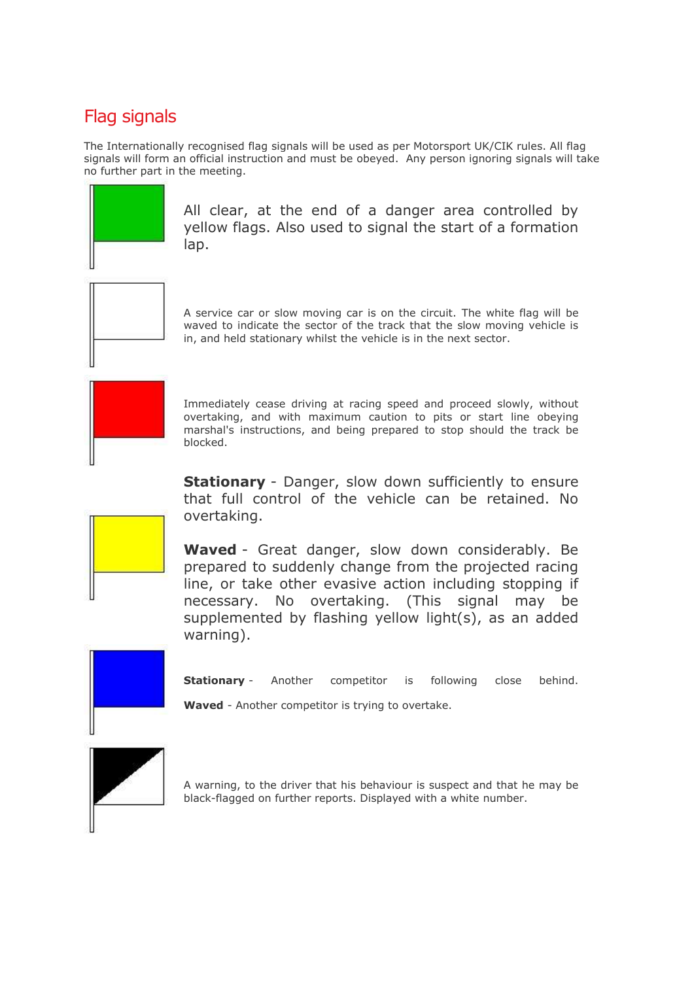## Flag signals

The Internationally recognised flag signals will be used as per Motorsport UK/CIK rules. All flag signals will form an official instruction and must be obeyed. Any person ignoring signals will take no further part in the meeting.



All clear, at the end of a danger area controlled by yellow flags. Also used to signal the start of a formation lap.



A service car or slow moving car is on the circuit. The white flag will be waved to indicate the sector of the track that the slow moving vehicle is in, and held stationary whilst the vehicle is in the next sector.



Immediately cease driving at racing speed and proceed slowly, without overtaking, and with maximum caution to pits or start line obeying marshal's instructions, and being prepared to stop should the track be blocked.

**Stationary** - Danger, slow down sufficiently to ensure that full control of the vehicle can be retained. No overtaking.



**Waved** - Great danger, slow down considerably. Be prepared to suddenly change from the projected racing line, or take other evasive action including stopping if necessary. No overtaking. (This signal may be supplemented by flashing yellow light(s), as an added warning).



**Stationary** - Another competitor is following close behind.

**Waved** - Another competitor is trying to overtake.



A warning, to the driver that his behaviour is suspect and that he may be black-flagged on further reports. Displayed with a white number.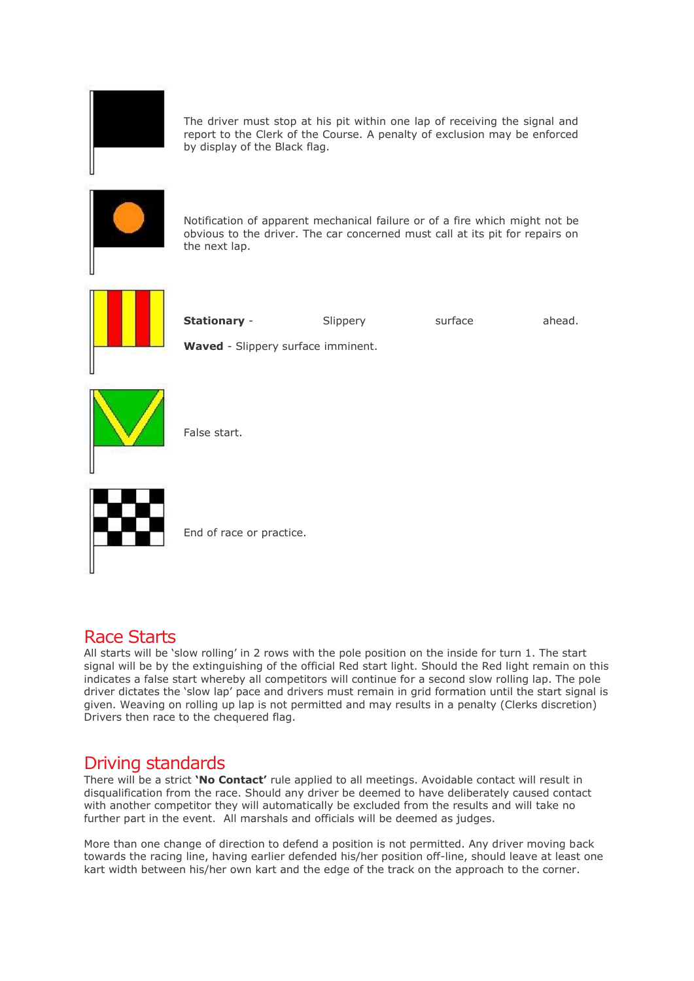

The driver must stop at his pit within one lap of receiving the signal and report to the Clerk of the Course. A penalty of exclusion may be enforced by display of the Black flag.



Notification of apparent mechanical failure or of a fire which might not be obvious to the driver. The car concerned must call at its pit for repairs on the next lap.



**Stationary** - Slippery surface ahead.

**Waved** - Slippery surface imminent.



False start.



End of race or practice.

## Race Starts

All starts will be 'slow rolling' in 2 rows with the pole position on the inside for turn 1. The start signal will be by the extinguishing of the official Red start light. Should the Red light remain on this indicates a false start whereby all competitors will continue for a second slow rolling lap. The pole driver dictates the 'slow lap' pace and drivers must remain in grid formation until the start signal is given. Weaving on rolling up lap is not permitted and may results in a penalty (Clerks discretion) Drivers then race to the chequered flag.

## Driving standards

There will be a strict **'No Contact'** rule applied to all meetings. Avoidable contact will result in disqualification from the race. Should any driver be deemed to have deliberately caused contact with another competitor they will automatically be excluded from the results and will take no further part in the event. All marshals and officials will be deemed as judges.

More than one change of direction to defend a position is not permitted. Any driver moving back towards the racing line, having earlier defended his/her position off-line, should leave at least one kart width between his/her own kart and the edge of the track on the approach to the corner.